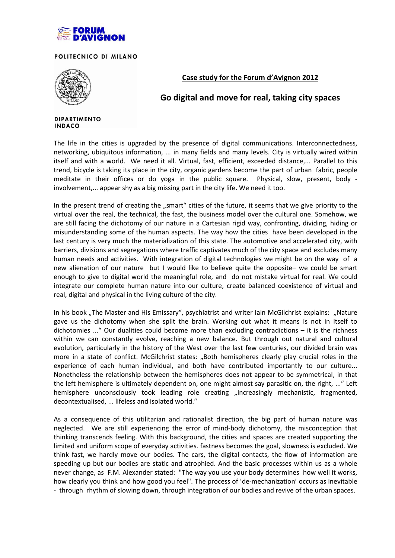

POLITECNICO DI MILANO



**Case study for the Forum d'Avignon 2012**

## **Go digital and move for real, taking city spaces**

## **DIPARTIMENTO INDACO**

The life in the cities is upgraded by the presence of digital communications. Interconnectedness, networking, ubiquitous information, ... in many fields and many levels. City is virtually wired within itself and with a world. We need it all. Virtual, fast, efficient, exceeded distance,... Parallel to this trend, bicycle is taking its place in the city, organic gardens become the part of urban fabric, people meditate in their offices or do yoga in the public square. Physical, slow, present, body involvement,... appear shy as a big missing part in the city life. We need it too.

In the present trend of creating the "smart" cities of the future, it seems that we give priority to the virtual over the real, the technical, the fast, the business model over the cultural one. Somehow, we are still facing the dichotomy of our nature in a Cartesian rigid way, confronting, dividing, hiding or misunderstanding some of the human aspects. The way how the cities have been developed in the last century is very much the materialization of this state. The automotive and accelerated city, with barriers, divisions and segregations where traffic captivates much of the city space and excludes many human needs and activities. With integration of digital technologies we might be on the way of a new alienation of our nature but I would like to believe quite the opposite– we could be smart enough to give to digital world the meaningful role, and do not mistake virtual for real. We could integrate our complete human nature into our culture, create balanced coexistence of virtual and real, digital and physical in the living culture of the city.

In his book "The Master and His Emissary", psychiatrist and writer Iain McGilchrist explains: "Nature gave us the dichotomy when she split the brain. Working out what it means is not in itself to dichotomies ..." Our dualities could become more than excluding contradictions – it is the richness within we can constantly evolve, reaching a new balance. But through out natural and cultural evolution, particularly in the history of the West over the last few centuries, our divided brain was more in a state of conflict. McGilchrist states: "Both hemispheres clearly play crucial roles in the experience of each human individual, and both have contributed importantly to our culture... Nonetheless the relationship between the hemispheres does not appear to be symmetrical, in that the left hemisphere is ultimately dependent on, one might almost say parasitic on, the right, ..." Left hemisphere unconsciously took leading role creating "increasingly mechanistic, fragmented, decontextualised, ... lifeless and isolated world."

As a consequence of this utilitarian and rationalist direction, the big part of human nature was neglected. We are still experiencing the error of mind-body dichotomy, the misconception that thinking transcends feeling. With this background, the cities and spaces are created supporting the limited and uniform scope of everyday activities. fastness becomes the goal, slowness is excluded. We think fast, we hardly move our bodies. The cars, the digital contacts, the flow of information are speeding up but our bodies are static and atrophied. And the basic processes within us as a whole never change, as F.M. Alexander stated: "The way you use your body determines how well it works, how clearly you think and how good you feel". The process of 'de-mechanization' occurs as inevitable - through rhythm of slowing down, through integration of our bodies and revive of the urban spaces.